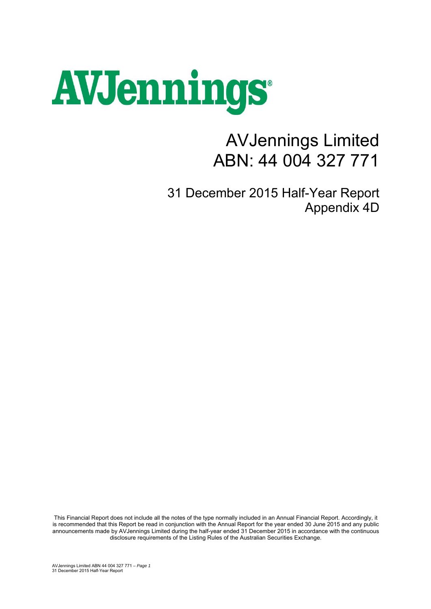# AVJennings

## AVJennings Limited ABN: 44 004 327 771

31 December 2015 Half-Year Report Appendix 4D

This Financial Report does not include all the notes of the type normally included in an Annual Financial Report. Accordingly, it is recommended that this Report be read in conjunction with the Annual Report for the year ended 30 June 2015 and any public announcements made by AVJennings Limited during the half-year ended 31 December 2015 in accordance with the continuous disclosure requirements of the Listing Rules of the Australian Securities Exchange.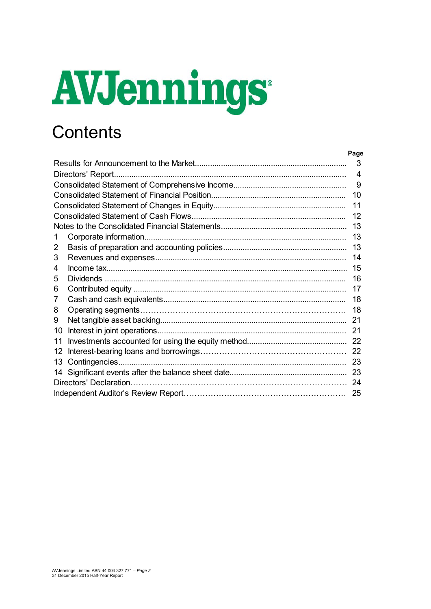# AVJennings

## **Contents**

|    |                   | Page |
|----|-------------------|------|
|    |                   | 3    |
|    | Directors' Report | 4    |
|    |                   | 9    |
|    |                   | 10   |
|    |                   | 11   |
|    |                   | 12   |
|    |                   | 13   |
| 1  |                   | 13   |
| 2  |                   | 13   |
| 3  |                   | 14   |
| 4  |                   | 15   |
| 5  |                   | 16   |
| 6  |                   | 17   |
| 7  |                   | 18   |
| 8  |                   | 18   |
| 9  |                   | 21   |
| 10 |                   | 21   |
| 11 |                   |      |
| 12 |                   |      |
| 13 |                   | 23   |
| 14 |                   | 23   |
|    |                   | 24   |
|    |                   | 25   |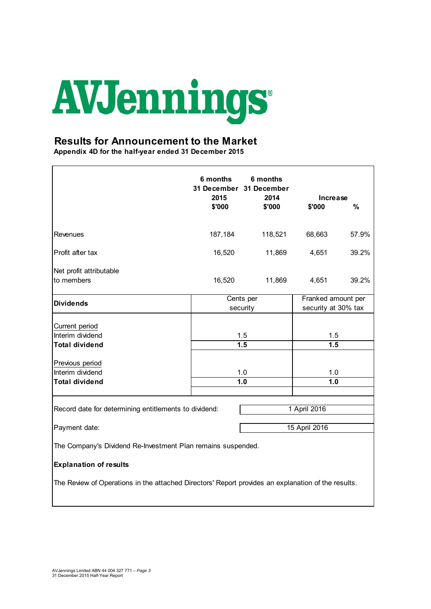

#### **Results for Announcement to the Market**

**Appendix 4D for the half-year ended 31 December 2015**

|                                                                                                    | 6 months<br>2015                                                   | 6 months<br>31 December 31 December<br>2014 | Increase     |       |  |
|----------------------------------------------------------------------------------------------------|--------------------------------------------------------------------|---------------------------------------------|--------------|-------|--|
|                                                                                                    | \$'000                                                             | \$'000                                      | \$'000       | %     |  |
| Revenues                                                                                           | 187,184                                                            | 118,521                                     | 68,663       | 57.9% |  |
| Profit after tax                                                                                   | 16,520                                                             | 11,869                                      | 4,651        | 39.2% |  |
| Net profit attributable<br>to members                                                              | 16,520                                                             | 11,869                                      | 4,651        | 39.2% |  |
| <b>Dividends</b>                                                                                   | Cents per<br>Franked amount per<br>security at 30% tax<br>security |                                             |              |       |  |
| Current period<br>Interim dividend<br><b>Total dividend</b>                                        | 1.5<br>1.5<br>1.5<br>1.5                                           |                                             |              |       |  |
| Previous period<br>Interim dividend<br><b>Total dividend</b>                                       | 1.0<br>1.0                                                         |                                             | 1.0<br>1.0   |       |  |
| Record date for determining entitlements to dividend:                                              |                                                                    |                                             | 1 April 2016 |       |  |
| 15 April 2016<br>Payment date:                                                                     |                                                                    |                                             |              |       |  |
| The Company's Dividend Re-Investment Plan remains suspended.                                       |                                                                    |                                             |              |       |  |
| <b>Explanation of results</b>                                                                      |                                                                    |                                             |              |       |  |
| The Review of Operations in the attached Directors' Report provides an explanation of the results. |                                                                    |                                             |              |       |  |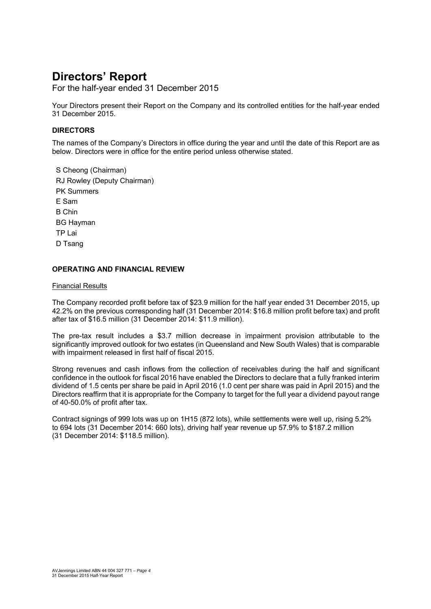For the half-year ended 31 December 2015

Your Directors present their Report on the Company and its controlled entities for the half-year ended 31 December 2015.

#### **DIRECTORS**

The names of the Company's Directors in office during the year and until the date of this Report are as below. Directors were in office for the entire period unless otherwise stated.

S Cheong (Chairman) RJ Rowley (Deputy Chairman) PK Summers E Sam B Chin BG Hayman TP Lai D Tsang

#### **OPERATING AND FINANCIAL REVIEW**

#### Financial Results

The Company recorded profit before tax of \$23.9 million for the half year ended 31 December 2015, up 42.2% on the previous corresponding half (31 December 2014: \$16.8 million profit before tax) and profit after tax of \$16.5 million (31 December 2014: \$11.9 million).

The pre-tax result includes a \$3.7 million decrease in impairment provision attributable to the significantly improved outlook for two estates (in Queensland and New South Wales) that is comparable with impairment released in first half of fiscal 2015.

Strong revenues and cash inflows from the collection of receivables during the half and significant confidence in the outlook for fiscal 2016 have enabled the Directors to declare that a fully franked interim dividend of 1.5 cents per share be paid in April 2016 (1.0 cent per share was paid in April 2015) and the Directors reaffirm that it is appropriate for the Company to target for the full year a dividend payout range of 40-50.0% of profit after tax.

Contract signings of 999 lots was up on 1H15 (872 lots), while settlements were well up, rising 5.2% to 694 lots (31 December 2014: 660 lots), driving half year revenue up 57.9% to \$187.2 million (31 December 2014: \$118.5 million).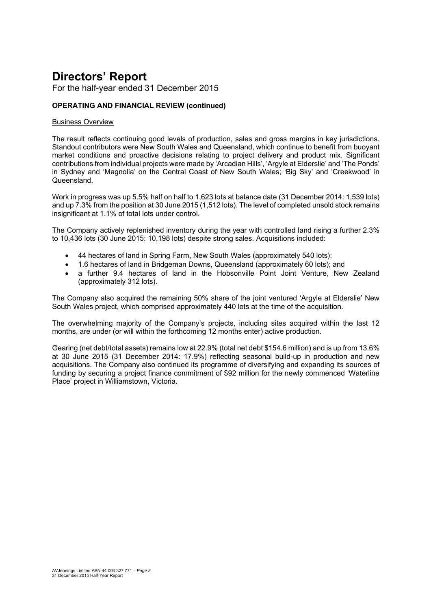For the half-year ended 31 December 2015

#### **OPERATING AND FINANCIAL REVIEW (continued)**

#### Business Overview

The result reflects continuing good levels of production, sales and gross margins in key jurisdictions. Standout contributors were New South Wales and Queensland, which continue to benefit from buoyant market conditions and proactive decisions relating to project delivery and product mix. Significant contributions from individual projects were made by 'Arcadian Hills', 'Argyle at Elderslie' and 'The Ponds' in Sydney and 'Magnolia' on the Central Coast of New South Wales; 'Big Sky' and 'Creekwood' in Queensland.

Work in progress was up 5.5% half on half to 1,623 lots at balance date (31 December 2014: 1,539 lots) and up 7.3% from the position at 30 June 2015 (1,512 lots). The level of completed unsold stock remains insignificant at 1.1% of total lots under control.

The Company actively replenished inventory during the year with controlled land rising a further 2.3% to 10,436 lots (30 June 2015: 10,198 lots) despite strong sales. Acquisitions included:

- 44 hectares of land in Spring Farm, New South Wales (approximately 540 lots);
- 1.6 hectares of land in Bridgeman Downs, Queensland (approximately 60 lots); and
- a further 9.4 hectares of land in the Hobsonville Point Joint Venture, New Zealand (approximately 312 lots).

The Company also acquired the remaining 50% share of the joint ventured 'Argyle at Elderslie' New South Wales project, which comprised approximately 440 lots at the time of the acquisition.

The overwhelming majority of the Company's projects, including sites acquired within the last 12 months, are under (or will within the forthcoming 12 months enter) active production.

Gearing (net debt/total assets) remains low at 22.9% (total net debt \$154.6 million) and is up from 13.6% at 30 June 2015 (31 December 2014: 17.9%) reflecting seasonal build-up in production and new acquisitions. The Company also continued its programme of diversifying and expanding its sources of funding by securing a project finance commitment of \$92 million for the newly commenced 'Waterline Place' project in Williamstown, Victoria.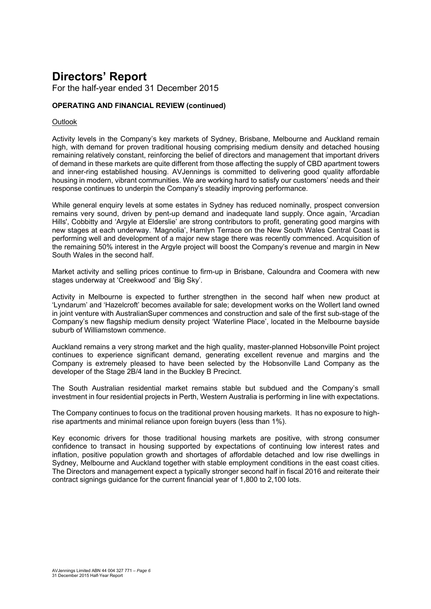For the half-year ended 31 December 2015

#### **OPERATING AND FINANCIAL REVIEW (continued)**

#### **Outlook**

Activity levels in the Company's key markets of Sydney, Brisbane, Melbourne and Auckland remain high, with demand for proven traditional housing comprising medium density and detached housing remaining relatively constant, reinforcing the belief of directors and management that important drivers of demand in these markets are quite different from those affecting the supply of CBD apartment towers and inner-ring established housing. AVJennings is committed to delivering good quality affordable housing in modern, vibrant communities. We are working hard to satisfy our customers' needs and their response continues to underpin the Company's steadily improving performance.

While general enquiry levels at some estates in Sydney has reduced nominally, prospect conversion remains very sound, driven by pent-up demand and inadequate land supply. Once again, 'Arcadian Hills', Cobbitty and 'Argyle at Elderslie' are strong contributors to profit, generating good margins with new stages at each underway. 'Magnolia', Hamlyn Terrace on the New South Wales Central Coast is performing well and development of a major new stage there was recently commenced. Acquisition of the remaining 50% interest in the Argyle project will boost the Company's revenue and margin in New South Wales in the second half.

Market activity and selling prices continue to firm-up in Brisbane, Caloundra and Coomera with new stages underway at 'Creekwood' and 'Big Sky'.

Activity in Melbourne is expected to further strengthen in the second half when new product at 'Lyndarum' and 'Hazelcroft' becomes available for sale; development works on the Wollert land owned in joint venture with AustralianSuper commences and construction and sale of the first sub-stage of the Company's new flagship medium density project 'Waterline Place', located in the Melbourne bayside suburb of Williamstown commence.

Auckland remains a very strong market and the high quality, master-planned Hobsonville Point project continues to experience significant demand, generating excellent revenue and margins and the Company is extremely pleased to have been selected by the Hobsonville Land Company as the developer of the Stage 2B/4 land in the Buckley B Precinct.

The South Australian residential market remains stable but subdued and the Company's small investment in four residential projects in Perth, Western Australia is performing in line with expectations.

The Company continues to focus on the traditional proven housing markets. It has no exposure to highrise apartments and minimal reliance upon foreign buyers (less than 1%).

Key economic drivers for those traditional housing markets are positive, with strong consumer confidence to transact in housing supported by expectations of continuing low interest rates and inflation, positive population growth and shortages of affordable detached and low rise dwellings in Sydney, Melbourne and Auckland together with stable employment conditions in the east coast cities. The Directors and management expect a typically stronger second half in fiscal 2016 and reiterate their contract signings guidance for the current financial year of 1,800 to 2,100 lots.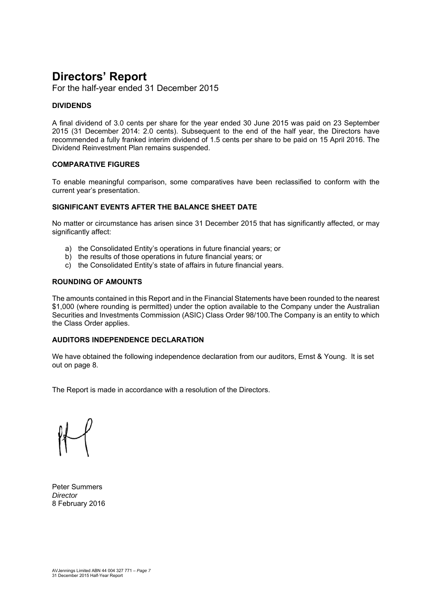For the half-year ended 31 December 2015

#### **DIVIDENDS**

A final dividend of 3.0 cents per share for the year ended 30 June 2015 was paid on 23 September 2015 (31 December 2014: 2.0 cents). Subsequent to the end of the half year, the Directors have recommended a fully franked interim dividend of 1.5 cents per share to be paid on 15 April 2016. The Dividend Reinvestment Plan remains suspended.

#### **COMPARATIVE FIGURES**

To enable meaningful comparison, some comparatives have been reclassified to conform with the current year's presentation.

#### **SIGNIFICANT EVENTS AFTER THE BALANCE SHEET DATE**

No matter or circumstance has arisen since 31 December 2015 that has significantly affected, or may significantly affect:

- a) the Consolidated Entity's operations in future financial years; or
- b) the results of those operations in future financial years; or
- c) the Consolidated Entity's state of affairs in future financial years.

#### **ROUNDING OF AMOUNTS**

The amounts contained in this Report and in the Financial Statements have been rounded to the nearest \$1,000 (where rounding is permitted) under the option available to the Company under the Australian Securities and Investments Commission (ASIC) Class Order 98/100.The Company is an entity to which the Class Order applies.

#### **AUDITORS INDEPENDENCE DECLARATION**

We have obtained the following independence declaration from our auditors, Ernst & Young. It is set out on page 8.

The Report is made in accordance with a resolution of the Directors.

Peter Summers *Director*  8 February 2016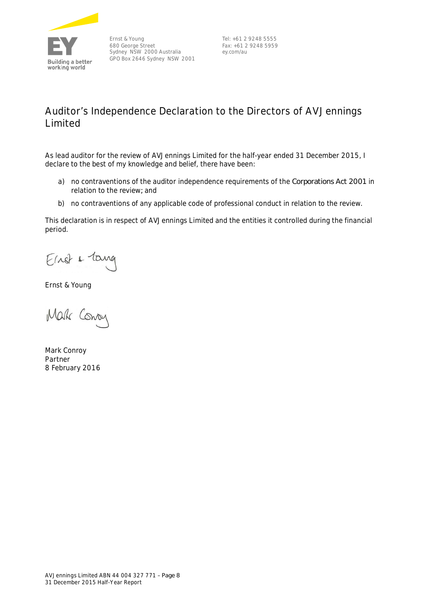

Ernst & Young 680 George Street Sydney NSW 2000 Australia GPO Box 2646 Sydney NSW 2001

Tel: +61 2 9248 5555 Fax: +61 2 9248 5959 ey.com/au

### **Auditor's Independence Declaration to the Directors of AVJennings Limited**

As lead auditor for the review of AVJennings Limited for the half-year ended 31 December 2015, I declare to the best of my knowledge and belief, there have been:

- a) no contraventions of the auditor independence requirements of the *Corporations Act 2001* in relation to the review*;* and
- b) no contraventions of any applicable code of professional conduct in relation to the review.

This declaration is in respect of AVJennings Limited and the entities it controlled during the financial period.

Einst & Tang

Ernst & Young

Mak Conoy

Mark Conroy Partner 8 February 2016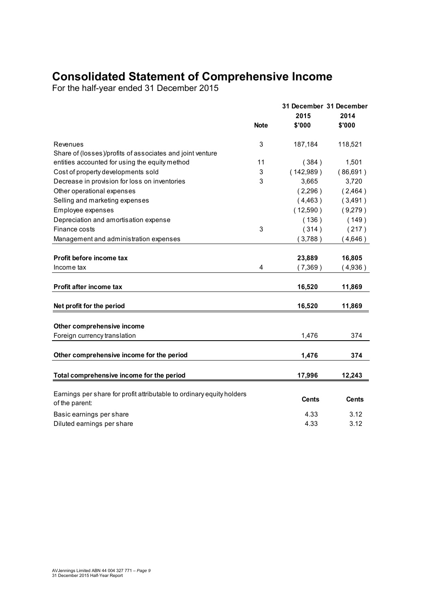## **Consolidated Statement of Comprehensive Income**

For the half-year ended 31 December 2015

|                                                                                         | <b>Note</b> | 31 December 31 December<br>2015<br>\$'000 | 2014<br>\$'000 |
|-----------------------------------------------------------------------------------------|-------------|-------------------------------------------|----------------|
|                                                                                         |             |                                           |                |
| Revenues                                                                                | 3           | 187,184                                   | 118,521        |
| Share of (losses)/profits of associates and joint venture                               |             |                                           |                |
| entities accounted for using the equity method                                          | 11          | (384)                                     | 1,501          |
| Cost of property developments sold                                                      | 3           | (142,989)                                 | (86,691)       |
| Decrease in provision for loss on inventories                                           | 3           | 3,665                                     | 3,720          |
| Other operational expenses                                                              |             | (2,296)                                   | (2,464)        |
| Selling and marketing expenses                                                          |             | (4, 463)                                  | (3,491)        |
| Employee expenses                                                                       |             | (12,590)                                  | (9,279)        |
| Depreciation and amortisation expense                                                   |             | (136)                                     | (149)          |
| Finance costs                                                                           | 3           | (314)                                     | (217)          |
| Management and administration expenses                                                  |             | (3,788)                                   | (4,646)        |
| Profit before income tax                                                                |             | 23,889                                    | 16,805         |
| Income tax                                                                              | 4           | (7,369)                                   | (4,936)        |
| Profit after income tax                                                                 |             | 16,520                                    | 11,869         |
| Net profit for the period                                                               |             | 16,520                                    | 11,869         |
|                                                                                         |             |                                           |                |
| Other comprehensive income                                                              |             |                                           |                |
| Foreign currency translation                                                            |             | 1,476                                     | 374            |
| Other comprehensive income for the period                                               |             | 1,476                                     | 374            |
| Total comprehensive income for the period                                               |             | 17,996                                    | 12,243         |
|                                                                                         |             |                                           |                |
| Earnings per share for profit attributable to ordinary equity holders<br>of the parent: |             | <b>Cents</b>                              | <b>Cents</b>   |
| Basic earnings per share                                                                |             | 4.33                                      | 3.12           |
| Diluted earnings per share                                                              |             | 4.33                                      | 3.12           |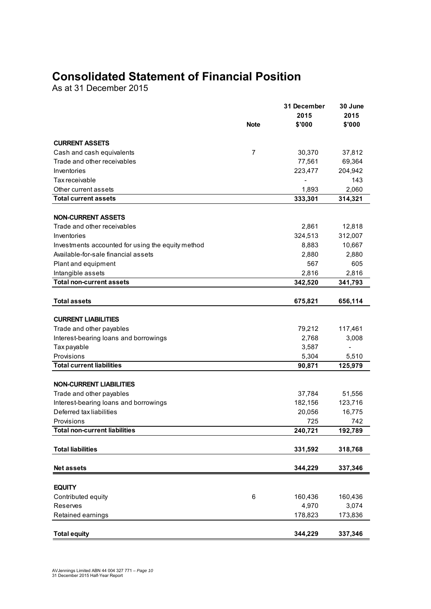## **Consolidated Statement of Financial Position**

As at 31 December 2015

| 2015                                                       | 2015    |
|------------------------------------------------------------|---------|
| \$'000<br><b>Note</b>                                      | \$'000  |
| <b>CURRENT ASSETS</b>                                      |         |
| Cash and cash equivalents<br>$\overline{7}$<br>30,370      | 37,812  |
| Trade and other receivables<br>77,561                      | 69,364  |
| 223,477<br>Inventories                                     | 204,942 |
| Tax receivable                                             | 143     |
| Other current assets<br>1,893                              | 2,060   |
| <b>Total current assets</b><br>333,301                     | 314,321 |
|                                                            |         |
| <b>NON-CURRENT ASSETS</b>                                  |         |
| Trade and other receivables<br>2,861                       | 12,818  |
| 324,513<br>Inventories                                     | 312,007 |
| 8,883<br>Investments accounted for using the equity method | 10,667  |
| Available-for-sale financial assets<br>2,880               | 2,880   |
| Plant and equipment<br>567                                 | 605     |
| Intangible assets<br>2,816                                 | 2,816   |
| <b>Total non-current assets</b><br>342,520                 | 341,793 |
|                                                            |         |
| <b>Total assets</b><br>675,821                             | 656,114 |
| <b>CURRENT LIABILITIES</b>                                 |         |
| Trade and other payables<br>79,212                         | 117,461 |
| Interest-bearing loans and borrowings<br>2,768             | 3,008   |
| 3,587<br>Tax payable                                       |         |
| Provisions<br>5,304                                        | 5,510   |
| <b>Total current liabilities</b><br>90,871                 | 125,979 |
|                                                            |         |
| <b>NON-CURRENT LIABILITIES</b>                             |         |
| Trade and other payables<br>37,784                         | 51,556  |
| Interest-bearing loans and borrowings<br>182,156           | 123,716 |
| Deferred tax liabilities<br>20,056                         | 16,775  |
| Provisions<br>725                                          | 742     |
| <b>Total non-current liabilities</b><br>240,721            | 192,789 |
|                                                            |         |
| <b>Total liabilities</b><br>331,592                        | 318,768 |
|                                                            |         |
| <b>Net assets</b><br>344,229                               | 337,346 |
| <b>EQUITY</b>                                              |         |
| Contributed equity<br>6<br>160,436                         | 160,436 |
| 4,970<br>Reserves                                          | 3,074   |
| Retained earnings<br>178,823                               | 173,836 |
|                                                            |         |
| <b>Total equity</b><br>344,229                             | 337,346 |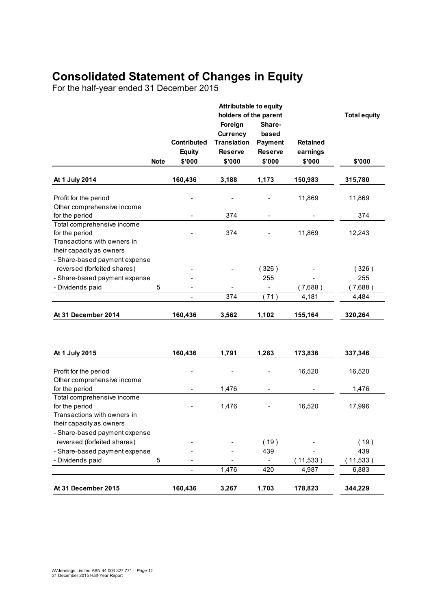## **Consolidated Statement of Changes in Equity**

For the half-year ended 31 December 2015

|                                                                                                         |             |                                               | <b>Attributable to equity</b><br>holders of the parent                       |                                                               |                                       | <b>Total equity</b> |
|---------------------------------------------------------------------------------------------------------|-------------|-----------------------------------------------|------------------------------------------------------------------------------|---------------------------------------------------------------|---------------------------------------|---------------------|
|                                                                                                         | <b>Note</b> | <b>Contributed</b><br><b>Equity</b><br>\$'000 | Foreign<br><b>Currency</b><br><b>Translation</b><br><b>Reserve</b><br>\$'000 | Share-<br>based<br><b>Payment</b><br><b>Reserve</b><br>\$'000 | <b>Retained</b><br>earnings<br>\$'000 | \$'000              |
| At 1 July 2014                                                                                          |             | 160,436                                       | 3,188                                                                        | 1,173                                                         | 150,983                               | 315,780             |
| Profit for the period<br>Other comprehensive income                                                     |             |                                               |                                                                              |                                                               | 11,869                                | 11,869              |
| for the period                                                                                          |             |                                               | 374                                                                          | $\overline{\phantom{0}}$                                      |                                       | 374                 |
| Total comprehensive income<br>for the period<br>Transactions with owners in<br>their capacity as owners |             |                                               | 374                                                                          |                                                               | 11,869                                | 12,243              |
| - Share-based payment expense<br>reversed (forfeited shares)                                            |             |                                               |                                                                              | (326)                                                         |                                       | (326)               |
| - Share-based payment expense                                                                           |             |                                               |                                                                              | 255                                                           |                                       | 255                 |
| - Dividends paid                                                                                        | 5           |                                               |                                                                              |                                                               | (7,688)                               | (7,688)             |
|                                                                                                         |             |                                               | 374                                                                          | (71)                                                          | 4,181                                 | 4,484               |
| At 31 December 2014                                                                                     |             | 160,436                                       | 3,562                                                                        | 1,102                                                         | 155,164                               | 320,264             |
| At 1 July 2015                                                                                          |             | 160,436                                       | 1,791                                                                        | 1,283                                                         | 173,836                               | 337,346             |
| Profit for the period                                                                                   |             |                                               | -                                                                            |                                                               | 16,520                                | 16,520              |
| Other comprehensive income                                                                              |             |                                               |                                                                              |                                                               |                                       | 1,476               |
| for the period<br>Total comprehensive income                                                            |             | $\qquad \qquad -$                             | 1,476                                                                        | -                                                             |                                       |                     |
| for the period<br>Transactions with owners in<br>their capacity as owners                               |             |                                               | 1,476                                                                        |                                                               | 16,520                                | 17,996              |
| - Share-based payment expense                                                                           |             |                                               |                                                                              |                                                               |                                       |                     |
| reversed (forfeited shares)                                                                             |             |                                               |                                                                              | (19)                                                          |                                       | (19)                |
| - Share-based payment expense<br>- Dividends paid                                                       |             |                                               |                                                                              | 439                                                           |                                       | 439                 |
|                                                                                                         | 5           |                                               | 1,476                                                                        | 420                                                           | (11,533)<br>4,987                     | (11,533)<br>6,883   |
| At 31 December 2015                                                                                     |             | 160,436                                       | 3,267                                                                        | 1,703                                                         | 178,823                               | 344,229             |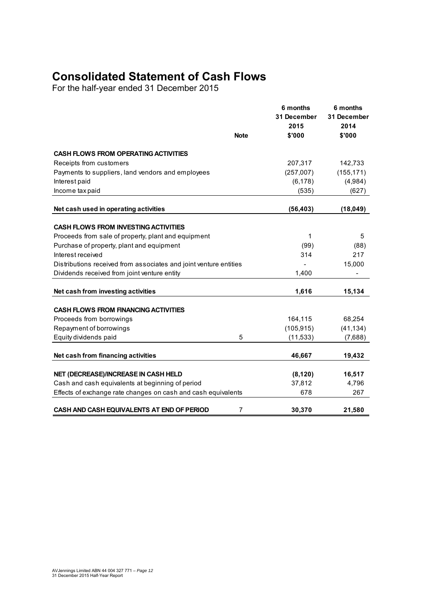## **Consolidated Statement of Cash Flows**

For the half-year ended 31 December 2015

|                                                                   | <b>Note</b> | 6 months<br>31 December<br>2015<br>\$'000 | 6 months<br>31 December<br>2014<br>\$'000 |
|-------------------------------------------------------------------|-------------|-------------------------------------------|-------------------------------------------|
| <b>CASH FLOWS FROM OPERATING ACTIVITIES</b>                       |             |                                           |                                           |
| Receipts from customers                                           |             | 207,317                                   | 142,733                                   |
| Payments to suppliers, land vendors and employees                 |             | (257,007)                                 | (155, 171)                                |
| Interest paid                                                     |             | (6, 178)                                  | (4,984)                                   |
| Income tax paid                                                   |             | (535)                                     | (627)                                     |
| Net cash used in operating activities                             |             | (56, 403)                                 | (18, 049)                                 |
| <b>CASH FLOWS FROM INVESTING ACTIVITIES</b>                       |             |                                           |                                           |
| Proceeds from sale of property, plant and equipment               |             | 1                                         | 5                                         |
| Purchase of property, plant and equipment                         |             | (99)                                      | (88)                                      |
| Interest received                                                 |             | 314                                       | 217                                       |
| Distributions received from associates and joint venture entities |             |                                           | 15,000                                    |
| Dividends received from joint venture entity                      |             | 1,400                                     |                                           |
|                                                                   |             |                                           |                                           |
| Net cash from investing activities                                |             | 1,616                                     | 15,134                                    |
| <b>CASH FLOWS FROM FINANCING ACTIVITIES</b>                       |             |                                           |                                           |
| Proceeds from borrowings                                          |             | 164,115                                   | 68,254                                    |
| Repayment of borrowings                                           |             | (105, 915)                                | (41, 134)                                 |
| Equity dividends paid                                             | 5           | (11, 533)                                 | (7,688)                                   |
| Net cash from financing activities                                |             | 46,667                                    | 19,432                                    |
|                                                                   |             |                                           |                                           |
| NET (DECREASE)/INCREASE IN CASH HELD                              |             | (8, 120)                                  | 16,517                                    |
| Cash and cash equivalents at beginning of period                  |             | 37,812                                    | 4,796                                     |
| Effects of exchange rate changes on cash and cash equivalents     |             | 678                                       | 267                                       |
| CASH AND CASH EQUIVALENTS AT END OF PERIOD                        | 7           | 30,370                                    | 21,580                                    |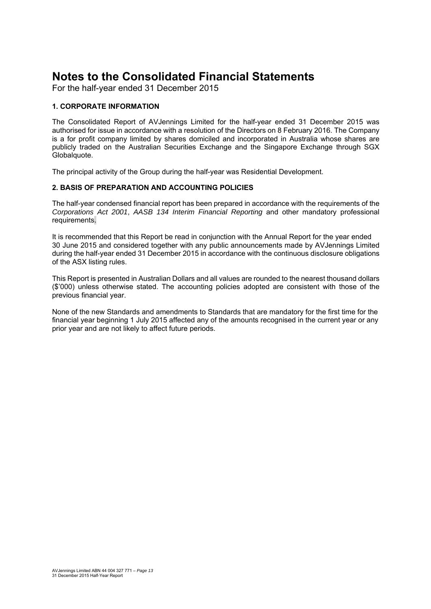For the half-year ended 31 December 2015

#### **1. CORPORATE INFORMATION**

The Consolidated Report of AVJennings Limited for the half-year ended 31 December 2015 was authorised for issue in accordance with a resolution of the Directors on 8 February 2016. The Company is a for profit company limited by shares domiciled and incorporated in Australia whose shares are publicly traded on the Australian Securities Exchange and the Singapore Exchange through SGX Globalquote.

The principal activity of the Group during the half-year was Residential Development.

#### **2. BASIS OF PREPARATION AND ACCOUNTING POLICIES**

The half-year condensed financial report has been prepared in accordance with the requirements of the *Corporations Act 2001*, *AASB 134 Interim Financial Reporting* and other mandatory professional requirements.

It is recommended that this Report be read in conjunction with the Annual Report for the year ended 30 June 2015 and considered together with any public announcements made by AVJennings Limited during the half-year ended 31 December 2015 in accordance with the continuous disclosure obligations of the ASX listing rules.

This Report is presented in Australian Dollars and all values are rounded to the nearest thousand dollars (\$'000) unless otherwise stated. The accounting policies adopted are consistent with those of the previous financial year.

None of the new Standards and amendments to Standards that are mandatory for the first time for the financial year beginning 1 July 2015 affected any of the amounts recognised in the current year or any prior year and are not likely to affect future periods.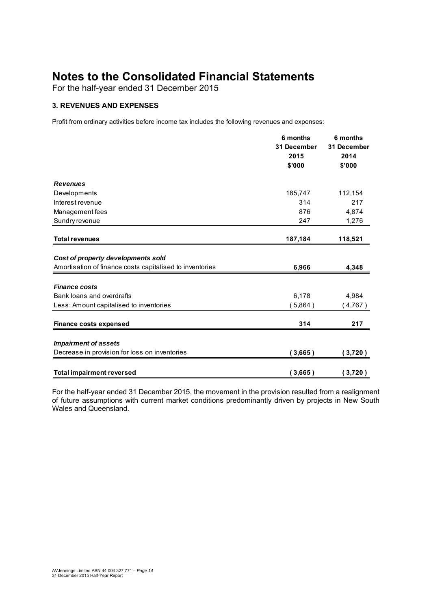For the half-year ended 31 December 2015

#### **3. REVENUES AND EXPENSES**

Profit from ordinary activities before income tax includes the following revenues and expenses:

|                                                          | 6 months    | 6 months<br>31 December |  |
|----------------------------------------------------------|-------------|-------------------------|--|
|                                                          | 31 December |                         |  |
|                                                          | 2015        | 2014                    |  |
|                                                          | \$'000      | \$'000                  |  |
| <b>Revenues</b>                                          |             |                         |  |
| Developments                                             | 185,747     | 112,154                 |  |
| Interest revenue                                         | 314         | 217                     |  |
| Management fees                                          | 876         | 4,874                   |  |
| Sundry revenue                                           | 247         | 1,276                   |  |
| <b>Total revenues</b>                                    | 187,184     | 118,521                 |  |
|                                                          |             |                         |  |
| Cost of property developments sold                       |             |                         |  |
| Amortisation of finance costs capitalised to inventories | 6,966       | 4,348                   |  |
|                                                          |             |                         |  |
| <b>Finance costs</b>                                     |             |                         |  |
| Bank loans and overdrafts                                | 6,178       | 4,984                   |  |
| Less: Amount capitalised to inventories                  | 5,864)      | (4,767)                 |  |
| <b>Finance costs expensed</b>                            | 314         | 217                     |  |
|                                                          |             |                         |  |
| <b>Impairment of assets</b>                              |             |                         |  |
| Decrease in provision for loss on inventories            | (3,665)     | (3,720)                 |  |
| <b>Total impairment reversed</b>                         | 3,665)      | 3,720)                  |  |

For the half-year ended 31 December 2015, the movement in the provision resulted from a realignment of future assumptions with current market conditions predominantly driven by projects in New South Wales and Queensland.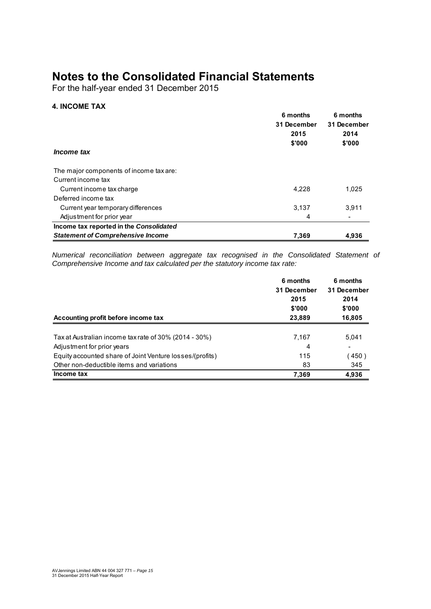For the half-year ended 31 December 2015

#### **4. INCOME TAX**

|                                          | 6 months<br>31 December<br>2015<br>\$'000 | 6 months<br>31 December<br>2014<br>\$'000 |
|------------------------------------------|-------------------------------------------|-------------------------------------------|
| <i>Income tax</i>                        |                                           |                                           |
| The major components of income tax are:  |                                           |                                           |
| Current income tax                       |                                           |                                           |
| Current income tax charge                | 4.228                                     | 1,025                                     |
| Deferred income tax                      |                                           |                                           |
| Current year temporary differences       | 3,137                                     | 3,911                                     |
| Adjustment for prior year                | 4                                         |                                           |
| Income tax reported in the Consolidated  |                                           |                                           |
| <b>Statement of Comprehensive Income</b> | 7.369                                     | 4.936                                     |

*Numerical reconciliation between aggregate tax recognised in the Consolidated Statement of Comprehensive Income and tax calculated per the statutory income tax rate:*

|                                                          | 6 months<br>31 December | 6 months<br>31 December |  |
|----------------------------------------------------------|-------------------------|-------------------------|--|
|                                                          | 2015                    | 2014                    |  |
|                                                          | \$'000                  | \$'000                  |  |
| Accounting profit before income tax                      | 23,889                  | 16,805                  |  |
| Tax at Australian income tax rate of 30% (2014 - 30%)    | 7,167                   | 5.041                   |  |
| Adjustment for prior years                               | 4                       |                         |  |
| Equity accounted share of Joint Venture losses/(profits) | 115                     | 450)                    |  |
| Other non-deductible items and variations                | 83                      | 345                     |  |
| Income tax                                               | 7,369                   | 4,936                   |  |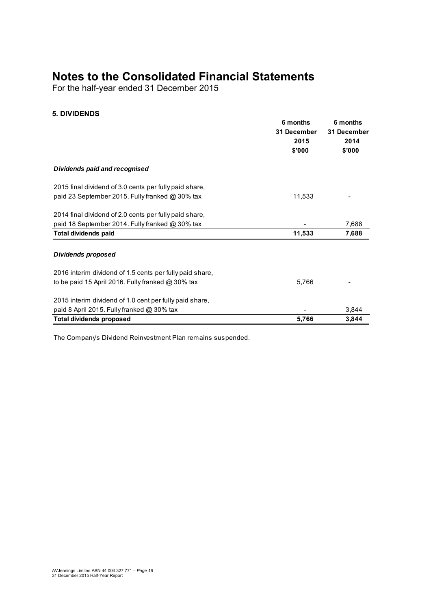For the half-year ended 31 December 2015

#### **5. DIVIDENDS**

|                                                          | 6 months<br>31 December<br>2015<br>\$'000 | 6 months<br>31 December<br>2014<br>\$'000 |
|----------------------------------------------------------|-------------------------------------------|-------------------------------------------|
| Dividends paid and recognised                            |                                           |                                           |
| 2015 final dividend of 3.0 cents per fully paid share,   |                                           |                                           |
| paid 23 September 2015. Fully franked @ 30% tax          | 11,533                                    |                                           |
| 2014 final dividend of 2.0 cents per fully paid share,   |                                           |                                           |
| paid 18 September 2014. Fully franked @ 30% tax          |                                           | 7,688                                     |
| <b>Total dividends paid</b>                              | 11,533                                    | 7,688                                     |
| <b>Dividends proposed</b>                                |                                           |                                           |
| 2016 interim dividend of 1.5 cents per fully paid share, |                                           |                                           |
| to be paid 15 April 2016. Fully franked @ 30% tax        | 5,766                                     |                                           |
| 2015 interim dividend of 1.0 cent per fully paid share,  |                                           |                                           |
| paid 8 April 2015. Fully franked @ 30% tax               |                                           | 3,844                                     |
| <b>Total dividends proposed</b>                          | 5,766                                     | 3,844                                     |

The Company's Dividend Reinvestment Plan remains suspended.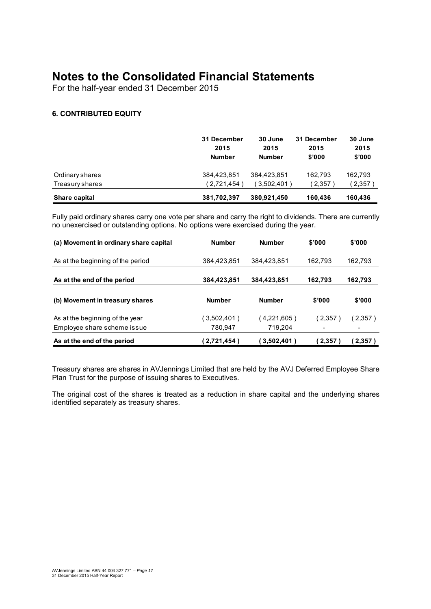For the half-year ended 31 December 2015

#### **6. CONTRIBUTED EQUITY**

|                 | 31 December<br>2015<br><b>Number</b> | 30 June<br>2015<br><b>Number</b> | 31 December<br>2015<br>\$'000 | 30 June<br>2015<br>\$'000 |
|-----------------|--------------------------------------|----------------------------------|-------------------------------|---------------------------|
| Ordinary shares | 384,423,851                          | 384.423.851                      | 162.793                       | 162,793                   |
| Treasury shares | (2,721,454)                          | $3,502,401$ )                    | 2,357                         | 2,357                     |
| Share capital   | 381,702,397                          | 380,921,450                      | 160.436                       | 160,436                   |

Fully paid ordinary shares carry one vote per share and carry the right to dividends. There are currently no unexercised or outstanding options. No options were exercised during the year.

| (a) Movement in ordinary share capital | <b>Number</b> | <b>Number</b> | \$'000  | \$'000  |
|----------------------------------------|---------------|---------------|---------|---------|
| As at the beginning of the period      | 384,423,851   | 384.423.851   | 162.793 | 162,793 |
| As at the end of the period            | 384,423,851   | 384,423,851   | 162.793 | 162,793 |
| (b) Movement in treasury shares        | <b>Number</b> | <b>Number</b> | \$'000  | \$'000  |
| As at the beginning of the year        | (3,502,401)   | $4,221,605$ ) | (2.357) | (2,357) |
| Employee share scheme issue            | 780.947       | 719.204       |         |         |
| As at the end of the period            | (2,721,454)   | 3,502,401)    | (2,357) | (2.357) |

Treasury shares are shares in AVJennings Limited that are held by the AVJ Deferred Employee Share Plan Trust for the purpose of issuing shares to Executives.

The original cost of the shares is treated as a reduction in share capital and the underlying shares identified separately as treasury shares.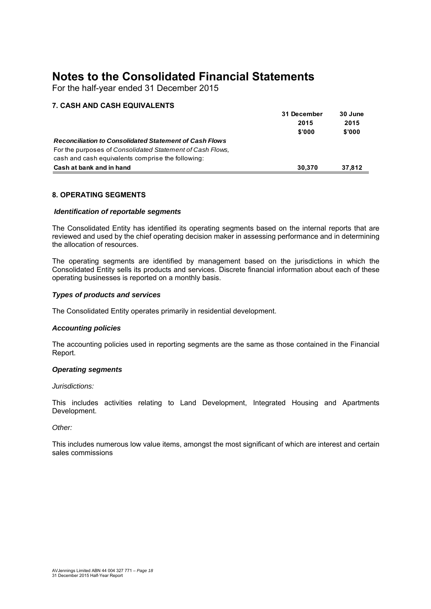For the half-year ended 31 December 2015

#### **7. CASH AND CASH EQUIVALENTS**

|                                                               | 31 December | 30 June |
|---------------------------------------------------------------|-------------|---------|
|                                                               | 2015        | 2015    |
|                                                               | \$'000      | \$'000  |
| <b>Reconciliation to Consolidated Statement of Cash Flows</b> |             |         |
| For the purposes of Consolidated Statement of Cash Flows.     |             |         |
| cash and cash equivalents comprise the following:             |             |         |
| Cash at bank and in hand                                      | 30.370      | 37.812  |

#### **8. OPERATING SEGMENTS**

#### *Identification of reportable segments*

The Consolidated Entity has identified its operating segments based on the internal reports that are reviewed and used by the chief operating decision maker in assessing performance and in determining the allocation of resources.

The operating segments are identified by management based on the jurisdictions in which the Consolidated Entity sells its products and services. Discrete financial information about each of these operating businesses is reported on a monthly basis.

#### *Types of products and services*

The Consolidated Entity operates primarily in residential development.

#### *Accounting policies*

The accounting policies used in reporting segments are the same as those contained in the Financial Report.

#### *Operating segments*

#### *Jurisdictions:*

This includes activities relating to Land Development, Integrated Housing and Apartments Development.

#### *Other:*

This includes numerous low value items, amongst the most significant of which are interest and certain sales commissions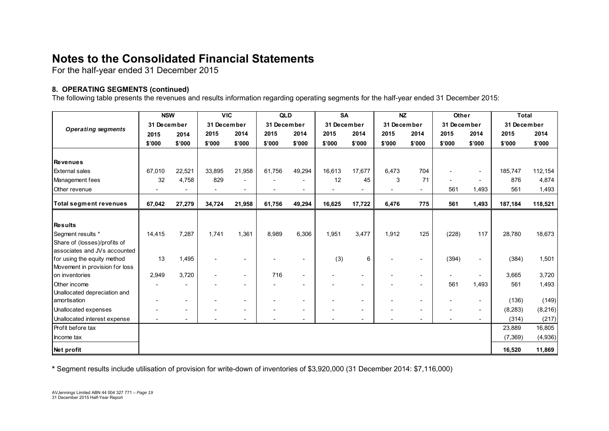For the half-year ended 31 December 2015

#### **8. OPERATING SEGMENTS (continued)**

The following table presents the revenues and results information regarding operating segments for the half-year ended 31 December 2015:

|                                | <b>NSW</b>  |                          | <b>VIC</b>  |                          | <b>QLD</b>  |                          | <b>SA</b>   |                          | <b>NZ</b>                |                          | Other       |                          | <b>Total</b> |          |
|--------------------------------|-------------|--------------------------|-------------|--------------------------|-------------|--------------------------|-------------|--------------------------|--------------------------|--------------------------|-------------|--------------------------|--------------|----------|
| <b>Operating segments</b>      | 31 December |                          | 31 December |                          | 31 December |                          | 31 December |                          | 31 December              |                          | 31 December |                          | 31 December  |          |
|                                | 2015        | 2014                     | 2015        | 2014                     | 2015        | 2014                     | 2015        | 2014                     | 2015                     | 2014                     | 2015        | 2014                     | 2015         | 2014     |
|                                | \$'000      | \$'000                   | \$'000      | \$'000                   | \$'000      | \$'000                   | \$'000      | \$'000                   | \$'000                   | \$'000                   | \$'000      | \$'000                   | \$'000       | \$'000   |
|                                |             |                          |             |                          |             |                          |             |                          |                          |                          |             |                          |              |          |
| <b>Revenues</b>                |             |                          |             |                          |             |                          |             |                          |                          |                          |             |                          |              |          |
| <b>External sales</b>          | 67,010      | 22,521                   | 33,895      | 21,958                   | 61,756      | 49,294                   | 16,613      | 17,677                   | 6,473                    | 704                      |             |                          | 185,747      | 112,154  |
| Management fees                | 32          | 4,758                    | 829         |                          |             |                          | 12          | 45                       | 3                        | 71                       |             |                          | 876          | 4,874    |
| Other revenue                  |             |                          |             | $\overline{\phantom{a}}$ |             |                          |             | $\overline{\phantom{0}}$ | $\overline{\phantom{a}}$ | $\overline{\phantom{a}}$ | 561         | 1,493                    | 561          | 1,493    |
| <b>Total segment revenues</b>  | 67,042      | 27,279                   | 34,724      | 21,958                   | 61,756      | 49,294                   | 16,625      | 17,722                   | 6,476                    | 775                      | 561         | 1,493                    | 187,184      | 118,521  |
|                                |             |                          |             |                          |             |                          |             |                          |                          |                          |             |                          |              |          |
| <b>Results</b>                 |             |                          |             |                          |             |                          |             |                          |                          |                          |             |                          |              |          |
| Segment results *              | 14,415      | 7,287                    | 1.741       | 1,361                    | 8,989       | 6,306                    | 1,951       | 3,477                    | 1,912                    | 125                      | (228)       | 117                      | 28,780       | 18,673   |
| Share of (losses)/profits of   |             |                          |             |                          |             |                          |             |                          |                          |                          |             |                          |              |          |
| associates and JVs accounted   |             |                          |             |                          |             |                          |             |                          |                          |                          |             |                          |              |          |
| for using the equity method    | 13          | 1,495                    |             |                          |             |                          | (3)         | 6                        |                          |                          | (394)       |                          | (384)        | 1,501    |
| Movement in provision for loss |             |                          |             |                          |             |                          |             |                          |                          |                          |             |                          |              |          |
| on inventories                 | 2,949       | 3,720                    |             |                          | 716         | $\overline{\phantom{a}}$ |             | $\overline{\phantom{a}}$ |                          | $\overline{\phantom{a}}$ |             |                          | 3,665        | 3,720    |
| Other income                   |             |                          |             |                          |             |                          |             | $\overline{\phantom{0}}$ |                          |                          | 561         | 1,493                    | 561          | 1,493    |
| Unallocated depreciation and   |             |                          |             |                          |             |                          |             |                          |                          |                          |             |                          |              |          |
| amortisation                   |             | $\overline{\phantom{a}}$ |             | $\sim$                   |             |                          |             | $\overline{\phantom{a}}$ |                          | $\overline{\phantom{a}}$ |             | $\overline{\phantom{a}}$ | (136)        | (149)    |
| Unallocated expenses           |             | $\overline{\phantom{a}}$ |             |                          |             |                          |             | $\blacksquare$           |                          |                          |             |                          | (8, 283)     | (8, 216) |
| Unallocated interest expense   |             | $\overline{\phantom{a}}$ |             | $\overline{\phantom{a}}$ |             |                          |             | $\overline{\phantom{a}}$ |                          | $\blacksquare$           |             |                          | (314)        | (217)    |
| Profit before tax              |             |                          |             |                          |             |                          |             |                          |                          |                          |             |                          | 23,889       | 16,805   |
| Income tax                     |             |                          |             |                          |             |                          |             |                          |                          |                          |             |                          | (7,369)      | (4,936)  |
| Net profit                     |             |                          |             |                          |             |                          |             |                          |                          |                          |             |                          | 16,520       | 11,869   |

**\*** Segment results include utilisation of provision for write-down of inventories of \$3,920,000 (31 December 2014: \$7,116,000)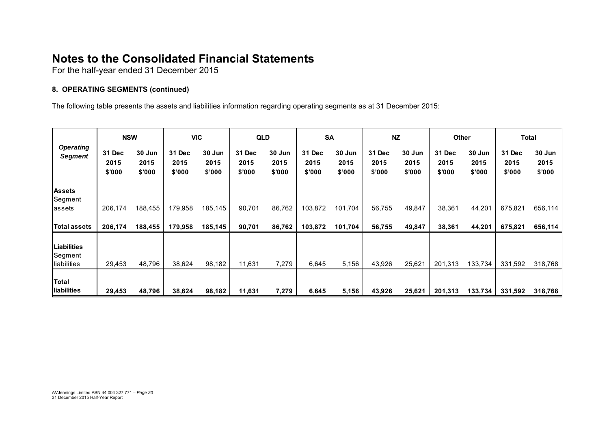For the half-year ended 31 December 2015

#### **8. OPERATING SEGMENTS (continued)**

The following table presents the assets and liabilities information regarding operating segments as at 31 December 2015:

|                                       | <b>NSW</b>               |                          |                          | <b>VIC</b>               | <b>QLD</b>               |                          | <b>SA</b>                |                          | <b>NZ</b>                |                          | Other                    |                          | Total                    |                          |
|---------------------------------------|--------------------------|--------------------------|--------------------------|--------------------------|--------------------------|--------------------------|--------------------------|--------------------------|--------------------------|--------------------------|--------------------------|--------------------------|--------------------------|--------------------------|
| <b>Operating</b><br><b>Segment</b>    | 31 Dec<br>2015<br>\$'000 | 30 Jun<br>2015<br>\$'000 | 31 Dec<br>2015<br>\$'000 | 30 Jun<br>2015<br>\$'000 | 31 Dec<br>2015<br>\$'000 | 30 Jun<br>2015<br>\$'000 | 31 Dec<br>2015<br>\$'000 | 30 Jun<br>2015<br>\$'000 | 31 Dec<br>2015<br>\$'000 | 30 Jun<br>2015<br>\$'000 | 31 Dec<br>2015<br>\$'000 | 30 Jun<br>2015<br>\$'000 | 31 Dec<br>2015<br>\$'000 | 30 Jun<br>2015<br>\$'000 |
| <b>Assets</b><br>Segment<br>lassets   | 206,174                  | 188,455                  | 179,958                  | 185,145                  | 90,701                   | 86,762                   | 103,872                  | 101,704                  | 56,755                   | 49,847                   | 38,361                   | 44,201                   | 675,821                  | 656,114                  |
| Total assets                          | 206,174                  | 188,455                  | 179,958                  | 185,145                  | 90,701                   | 86,762                   | 103,872                  | 101,704                  | 56,755                   | 49,847                   | 38,361                   | 44,201                   | 675,821                  | 656,114                  |
| Liabilities<br>Segment<br>liabilities | 29,453                   | 48,796                   | 38,624                   | 98,182                   | 11,631                   | 7,279                    | 6,645                    | 5,156                    | 43,926                   | 25,621                   | 201,313                  | 133,734                  | 331,592                  | 318,768                  |
| Total<br>liabilities                  | 29,453                   | 48,796                   | 38,624                   | 98,182                   | 11,631                   | 7,279                    | 6,645                    | 5,156                    | 43,926                   | 25,621                   | 201,313                  | 133,734                  | 331,592                  | 318,768                  |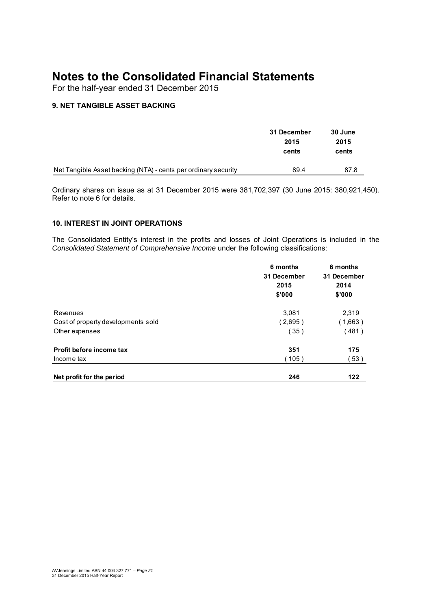For the half-year ended 31 December 2015

#### **9. NET TANGIBLE ASSET BACKING**

|                                                                | 31 December<br>2015<br>cents | 30 June<br>2015<br>cents |
|----------------------------------------------------------------|------------------------------|--------------------------|
| Net Tangible Asset backing (NTA) - cents per ordinary security | 89.4                         | 87.8                     |

Ordinary shares on issue as at 31 December 2015 were 381,702,397 (30 June 2015: 380,921,450). Refer to note 6 for details.

#### **10. INTEREST IN JOINT OPERATIONS**

The Consolidated Entity's interest in the profits and losses of Joint Operations is included in the *Consolidated Statement of Comprehensive Income* under the following classifications:

|                                    | 6 months<br>31 December<br>2015<br>\$'000 | 6 months<br>31 December<br>2014<br>\$'000 |
|------------------------------------|-------------------------------------------|-------------------------------------------|
| Revenues                           | 3,081                                     | 2,319                                     |
| Cost of property developments sold | (2,695)                                   | (1,663)                                   |
| Other expenses                     | 〔35)                                      | 481)                                      |
| Profit before income tax           | 351                                       | 175                                       |
| Income tax                         | (105)                                     | 53)                                       |
| Net profit for the period          | 246                                       | 122                                       |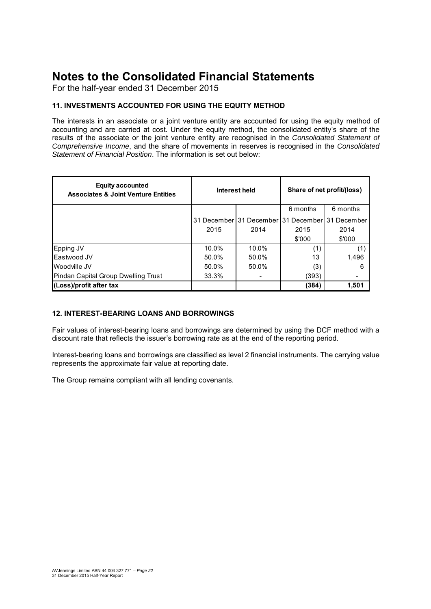For the half-year ended 31 December 2015

#### **11. INVESTMENTS ACCOUNTED FOR USING THE EQUITY METHOD**

The interests in an associate or a joint venture entity are accounted for using the equity method of accounting and are carried at cost. Under the equity method, the consolidated entity's share of the results of the associate or the joint venture entity are recognised in the *Consolidated Statement of Comprehensive Income*, and the share of movements in reserves is recognised in the *Consolidated Statement of Financial Position*. The information is set out below:

| <b>Equity accounted</b><br><b>Associates &amp; Joint Venture Entities</b> |       | Interest held                       | Share of net profit/(loss) |             |  |
|---------------------------------------------------------------------------|-------|-------------------------------------|----------------------------|-------------|--|
|                                                                           |       |                                     | 6 months                   | 6 months    |  |
|                                                                           |       | 31 December 31 December 31 December |                            | 31 December |  |
|                                                                           | 2015  | 2014                                | 2015                       | 2014        |  |
|                                                                           |       |                                     | \$'000                     | \$'000      |  |
| Epping JV                                                                 | 10.0% | 10.0%                               | (1)                        | (1)         |  |
| Eastwood JV                                                               | 50.0% | 50.0%                               | 13                         | 1.496       |  |
| Woodville JV                                                              | 50.0% | 50.0%                               | (3)                        | 6           |  |
| Pindan Capital Group Dwelling Trust                                       | 33.3% |                                     | (393)                      |             |  |
| (Loss)/profit after tax                                                   |       |                                     | (384)                      | 1.501       |  |

#### **12. INTEREST-BEARING LOANS AND BORROWINGS**

Fair values of interest-bearing loans and borrowings are determined by using the DCF method with a discount rate that reflects the issuer's borrowing rate as at the end of the reporting period.

Interest-bearing loans and borrowings are classified as level 2 financial instruments. The carrying value represents the approximate fair value at reporting date.

The Group remains compliant with all lending covenants.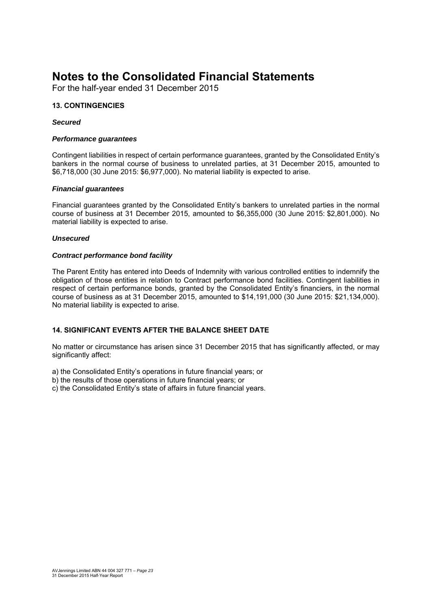For the half-year ended 31 December 2015

#### **13. CONTINGENCIES**

#### *Secured*

#### *Performance guarantees*

Contingent liabilities in respect of certain performance guarantees, granted by the Consolidated Entity's bankers in the normal course of business to unrelated parties, at 31 December 2015, amounted to \$6,718,000 (30 June 2015: \$6,977,000). No material liability is expected to arise.

#### *Financial guarantees*

Financial guarantees granted by the Consolidated Entity's bankers to unrelated parties in the normal course of business at 31 December 2015, amounted to \$6,355,000 (30 June 2015: \$2,801,000). No material liability is expected to arise.

#### *Unsecured*

#### *Contract performance bond facility*

The Parent Entity has entered into Deeds of Indemnity with various controlled entities to indemnify the obligation of those entities in relation to Contract performance bond facilities. Contingent liabilities in respect of certain performance bonds, granted by the Consolidated Entity's financiers, in the normal course of business as at 31 December 2015, amounted to \$14,191,000 (30 June 2015: \$21,134,000). No material liability is expected to arise.

#### **14. SIGNIFICANT EVENTS AFTER THE BALANCE SHEET DATE**

No matter or circumstance has arisen since 31 December 2015 that has significantly affected, or may significantly affect:

a) the Consolidated Entity's operations in future financial years; or

- b) the results of those operations in future financial years; or
- c) the Consolidated Entity's state of affairs in future financial years.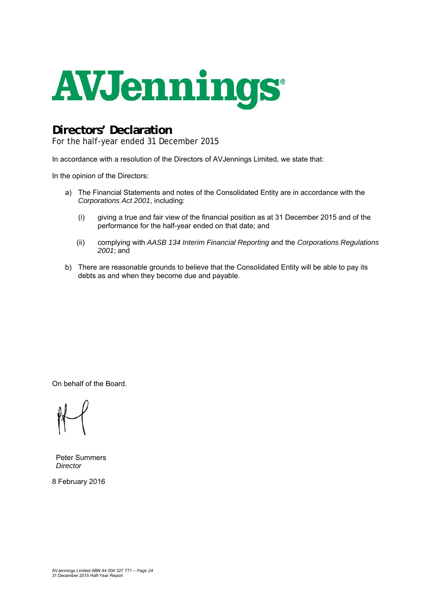

## **Directors' Declaration**

For the half-year ended 31 December 2015

In accordance with a resolution of the Directors of AVJennings Limited, we state that:

In the opinion of the Directors:

- a) The Financial Statements and notes of the Consolidated Entity are in accordance with the *Corporations Act 2001*, including:
	- (i) giving a true and fair view of the financial position as at 31 December 2015 and of the performance for the half-year ended on that date; and
	- (ii) complying with *AASB 134 Interim Financial Reporting* and the *Corporations Regulations 2001*; and
- b) There are reasonable grounds to believe that the Consolidated Entity will be able to pay its debts as and when they become due and payable.

On behalf of the Board.

Peter Summers *Director* 

8 February 2016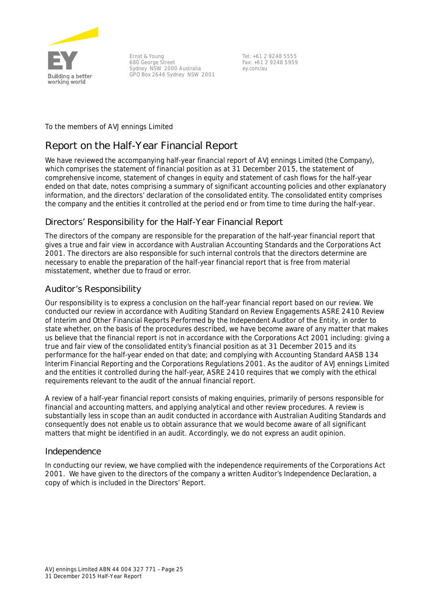

Ernst & Young 680 George Street Sydney NSW 2000 Australia GPO Box 2646 Sydney NSW 2001

Tel: +61 2 9248 5555 Fax: +61 2 9248 5959 ey.com/au

To the members of AVJennings Limited

## **Report on the Half-Year Financial Report**

We have reviewed the accompanying half-year financial report of AVJennings Limited (the Company), which comprises the statement of financial position as at 31 December 2015, the statement of comprehensive income, statement of changes in equity and statement of cash flows for the half-year ended on that date, notes comprising a summary of significant accounting policies and other explanatory information, and the directors' declaration of the consolidated entity. The consolidated entity comprises the company and the entities it controlled at the period end or from time to time during the half-year.

#### Directors' Responsibility for the Half-Year Financial Report

The directors of the company are responsible for the preparation of the half-year financial report that gives a true and fair view in accordance with Australian Accounting Standards and the *Corporations Act 2001*. The directors are also responsible for such internal controls that the directors determine are necessary to enable the preparation of the half-year financial report that is free from material misstatement, whether due to fraud or error.

#### Auditor's Responsibility

Our responsibility is to express a conclusion on the half-year financial report based on our review. We conducted our review in accordance with Auditing Standard on Review Engagements ASRE 2410 *Review of Interim and Other Financial Reports Performed by the Independent Auditor of the Entity*, in order to state whether, on the basis of the procedures described, we have become aware of any matter that makes us believe that the financial report is not in accordance with the *Corporations Act 2001* including: giving a true and fair view of the consolidated entity's financial position as at 31 December 2015 and its performance for the half-year ended on that date; and complying with Accounting Standard AASB 134 *Interim Financial Reporting* and the *Corporations Regulations 2001*. As the auditor of AVJennings Limited and the entities it controlled during the half-year, ASRE 2410 requires that we comply with the ethical requirements relevant to the audit of the annual financial report.

A review of a half-year financial report consists of making enquiries, primarily of persons responsible for financial and accounting matters, and applying analytical and other review procedures. A review is substantially less in scope than an audit conducted in accordance with Australian Auditing Standards and consequently does not enable us to obtain assurance that we would become aware of all significant matters that might be identified in an audit. Accordingly, we do not express an audit opinion.

#### Independence

In conducting our review, we have complied with the independence requirements of the *Corporations Act 2001*. We have given to the directors of the company a written Auditor's Independence Declaration, a copy of which is included in the Directors' Report.